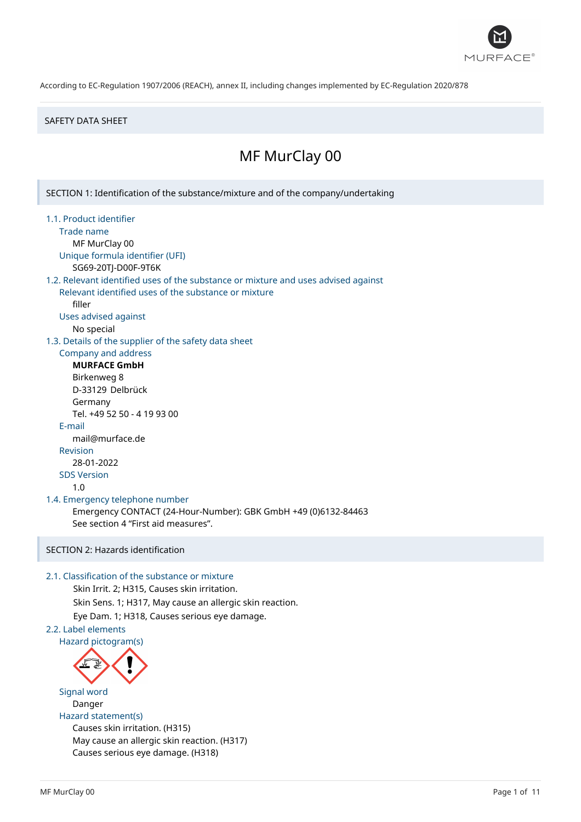

#### SAFETY DATA SHEET

# MF MurClay 00

1.1. Product identifier Trade name MF MurClay 00 Unique formula identifier (UFI) SG69-20TJ-D00F-9T6K 1.2. Relevant identified uses of the substance or mixture and uses advised against

SECTION 1: Identification of the substance/mixture and of the company/undertaking

Relevant identified uses of the substance or mixture filler

Uses advised against

No special

1.3. Details of the supplier of the safety data sheet

Company and address **MURFACE GmbH**

Birkenweg 8 D-33129 Delbrück Germany Tel. +49 52 50 - 4 19 93 00 E-mail mail@murface.de Revision 28-01-2022 SDS Version 1.0

1.4. Emergency telephone number

Emergency CONTACT (24-Hour-Number): GBK GmbH +49 (0)6132-84463 See section 4 "First aid measures".

## SECTION 2: Hazards identification

#### 2.1. Classification of the substance or mixture

Skin Irrit. 2; H315, Causes skin irritation. Skin Sens. 1; H317, May cause an allergic skin reaction. Eye Dam. 1; H318, Causes serious eye damage.

## 2.2. Label elements



Signal word Danger Hazard statement(s) Causes skin irritation. (H315) May cause an allergic skin reaction. (H317) Causes serious eye damage. (H318)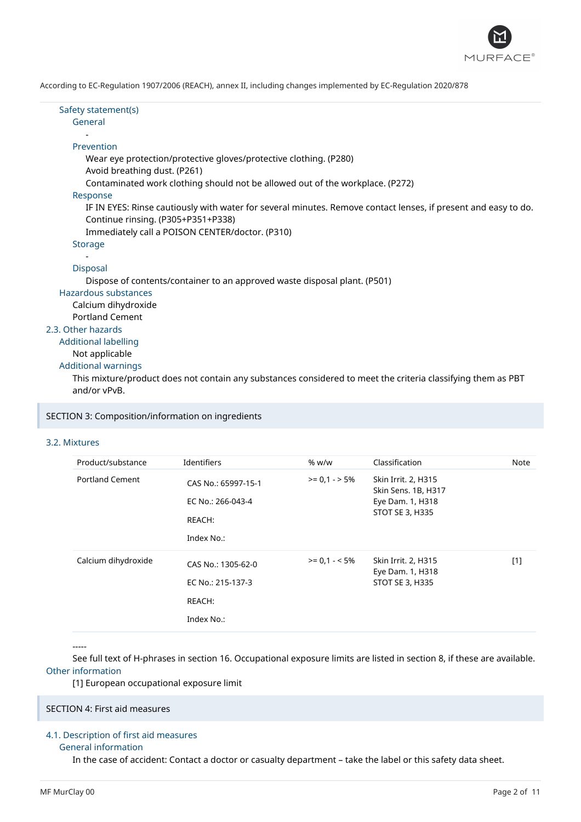

Safety statement(s) General

#### Prevention

-

- Wear eye protection/protective gloves/protective clothing. (P280)
- Avoid breathing dust. (P261)
- Contaminated work clothing should not be allowed out of the workplace. (P272)

#### Response

IF IN EYES: Rinse cautiously with water for several minutes. Remove contact lenses, if present and easy to do. Continue rinsing. (P305+P351+P338)

Immediately call a POISON CENTER/doctor. (P310)

#### **Storage** -

#### Disposal

Dispose of contents/container to an approved waste disposal plant. (P501)

#### Hazardous substances Calcium dihydroxide

Portland Cement

#### 2.3. Other hazards

Additional labelling

## Not applicable

Additional warnings

This mixture/product does not contain any substances considered to meet the criteria classifying them as PBT and/or vPvB.

SECTION 3: Composition/information on ingredients

## 3.2. Mixtures

| Product/substance      | Identifiers                                                      | % w/w          | Classification                                                                           | <b>Note</b> |
|------------------------|------------------------------------------------------------------|----------------|------------------------------------------------------------------------------------------|-------------|
| <b>Portland Cement</b> | CAS No.: 65997-15-1<br>EC No.: 266-043-4<br>REACH:<br>Index No.: | $>= 0.1 - 5\%$ | Skin Irrit. 2, H315<br>Skin Sens. 1B, H317<br>Eye Dam. 1, H318<br><b>STOT SE 3, H335</b> |             |
| Calcium dihydroxide    | CAS No.: 1305-62-0<br>EC No.: 215-137-3<br>REACH:<br>Index No.:  | $>= 0.1 - 5\%$ | Skin Irrit. 2, H315<br>Eye Dam. 1, H318<br><b>STOT SE 3, H335</b>                        | $[1]$       |

-----

See full text of H-phrases in section 16. Occupational exposure limits are listed in section 8, if these are available. Other information

[1] European occupational exposure limit

#### SECTION 4: First aid measures

## 4.1. Description of first aid measures

#### General information

In the case of accident: Contact a doctor or casualty department – take the label or this safety data sheet.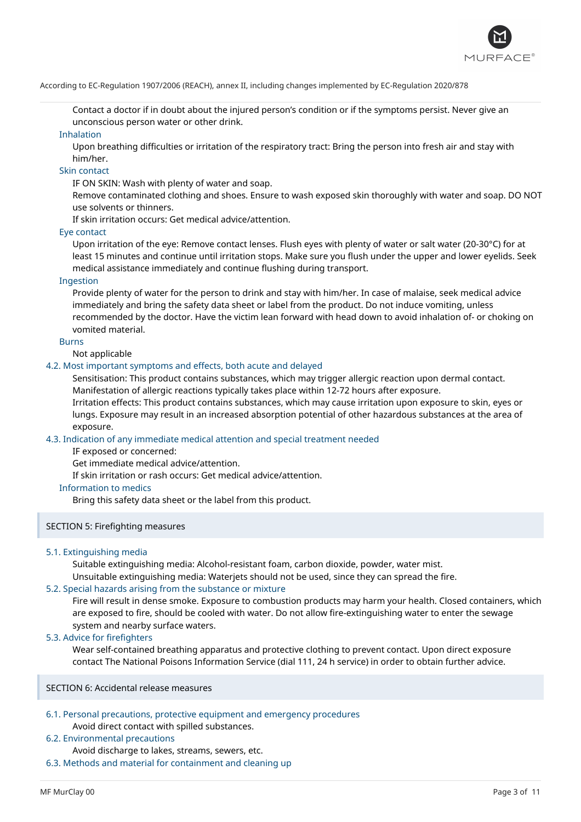

Contact a doctor if in doubt about the injured person's condition or if the symptoms persist. Never give an unconscious person water or other drink.

#### Inhalation

Upon breathing difficulties or irritation of the respiratory tract: Bring the person into fresh air and stay with him/her.

### Skin contact

IF ON SKIN: Wash with plenty of water and soap.

Remove contaminated clothing and shoes. Ensure to wash exposed skin thoroughly with water and soap. DO NOT use solvents or thinners.

If skin irritation occurs: Get medical advice/attention.

#### Eye contact

Upon irritation of the eye: Remove contact lenses. Flush eyes with plenty of water or salt water (20-30°C) for at least 15 minutes and continue until irritation stops. Make sure you flush under the upper and lower eyelids. Seek medical assistance immediately and continue flushing during transport.

#### Ingestion

Provide plenty of water for the person to drink and stay with him/her. In case of malaise, seek medical advice immediately and bring the safety data sheet or label from the product. Do not induce vomiting, unless recommended by the doctor. Have the victim lean forward with head down to avoid inhalation of- or choking on vomited material.

#### Burns

Not applicable

#### 4.2. Most important symptoms and effects, both acute and delayed

Sensitisation: This product contains substances, which may trigger allergic reaction upon dermal contact. Manifestation of allergic reactions typically takes place within 12-72 hours after exposure.

Irritation effects: This product contains substances, which may cause irritation upon exposure to skin, eyes or lungs. Exposure may result in an increased absorption potential of other hazardous substances at the area of exposure.

#### 4.3. Indication of any immediate medical attention and special treatment needed

IF exposed or concerned:

Get immediate medical advice/attention.

If skin irritation or rash occurs: Get medical advice/attention.

#### Information to medics

Bring this safety data sheet or the label from this product.

#### SECTION 5: Firefighting measures

#### 5.1. Extinguishing media

Suitable extinguishing media: Alcohol-resistant foam, carbon dioxide, powder, water mist. Unsuitable extinguishing media: Waterjets should not be used, since they can spread the fire.

#### 5.2. Special hazards arising from the substance or mixture

Fire will result in dense smoke. Exposure to combustion products may harm your health. Closed containers, which are exposed to fire, should be cooled with water. Do not allow fire-extinguishing water to enter the sewage system and nearby surface waters.

#### 5.3. Advice for firefighters

Wear self-contained breathing apparatus and protective clothing to prevent contact. Upon direct exposure contact The National Poisons Information Service (dial 111, 24 h service) in order to obtain further advice.

#### SECTION 6: Accidental release measures

## 6.1. Personal precautions, protective equipment and emergency procedures

Avoid direct contact with spilled substances.

## 6.2. Environmental precautions

Avoid discharge to lakes, streams, sewers, etc.

6.3. Methods and material for containment and cleaning up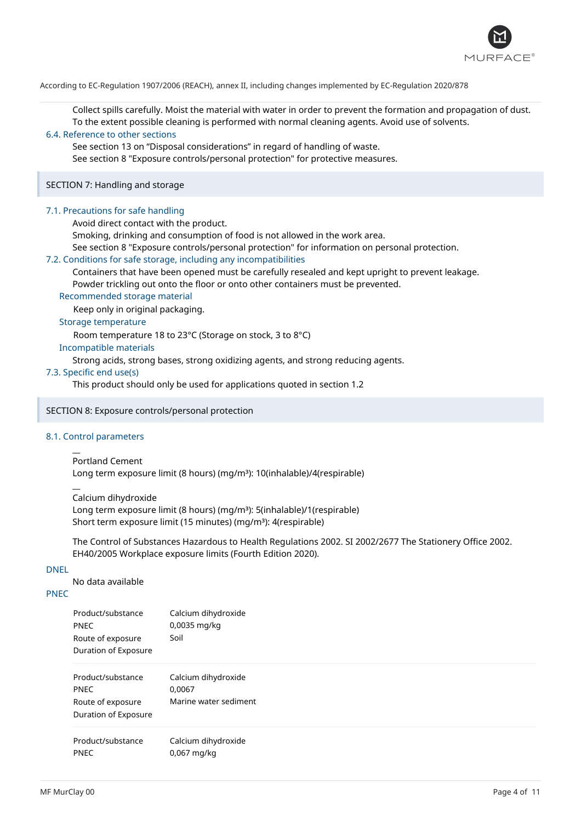

Collect spills carefully. Moist the material with water in order to prevent the formation and propagation of dust. To the extent possible cleaning is performed with normal cleaning agents. Avoid use of solvents.

#### 6.4. Reference to other sections

See section 13 on "Disposal considerations" in regard of handling of waste. See section 8 "Exposure controls/personal protection" for protective measures.

SECTION 7: Handling and storage

#### 7.1. Precautions for safe handling

Avoid direct contact with the product.

Smoking, drinking and consumption of food is not allowed in the work area.

See section 8 "Exposure controls/personal protection" for information on personal protection.

#### 7.2. Conditions for safe storage, including any incompatibilities

Containers that have been opened must be carefully resealed and kept upright to prevent leakage. Powder trickling out onto the floor or onto other containers must be prevented.

#### Recommended storage material

Keep only in original packaging.

Storage temperature

Room temperature 18 to 23°C (Storage on stock, 3 to 8°C)

#### Incompatible materials

Strong acids, strong bases, strong oxidizing agents, and strong reducing agents.

#### 7.3. Specific end use(s)

This product should only be used for applications quoted in section 1.2

#### SECTION 8: Exposure controls/personal protection

#### 8.1. Control parameters

 $\overline{a}$ 

 $\overline{a}$ 

Portland Cement Long term exposure limit (8 hours) (mg/m<sup>3</sup>): 10(inhalable)/4(respirable)

Calcium dihydroxide

Long term exposure limit (8 hours) (mg/m<sup>3</sup>): 5(inhalable)/1(respirable) Short term exposure limit (15 minutes) (mg/m<sup>3</sup>): 4(respirable)

The Control of Substances Hazardous to Health Regulations 2002. SI 2002/2677 The Stationery Office 2002. EH40/2005 Workplace exposure limits (Fourth Edition 2020).

#### DNEL

No data available

## PNEC

| Product/substance<br><b>PNEC</b><br>Route of exposure<br>Duration of Exposure | Calcium dihydroxide<br>0,0035 mg/kg<br>Soil            |
|-------------------------------------------------------------------------------|--------------------------------------------------------|
| Product/substance<br><b>PNEC</b><br>Route of exposure<br>Duration of Exposure | Calcium dihydroxide<br>0,0067<br>Marine water sediment |
| Product/substance<br><b>PNEC</b>                                              | Calcium dihydroxide<br>$0,067$ mg/kg                   |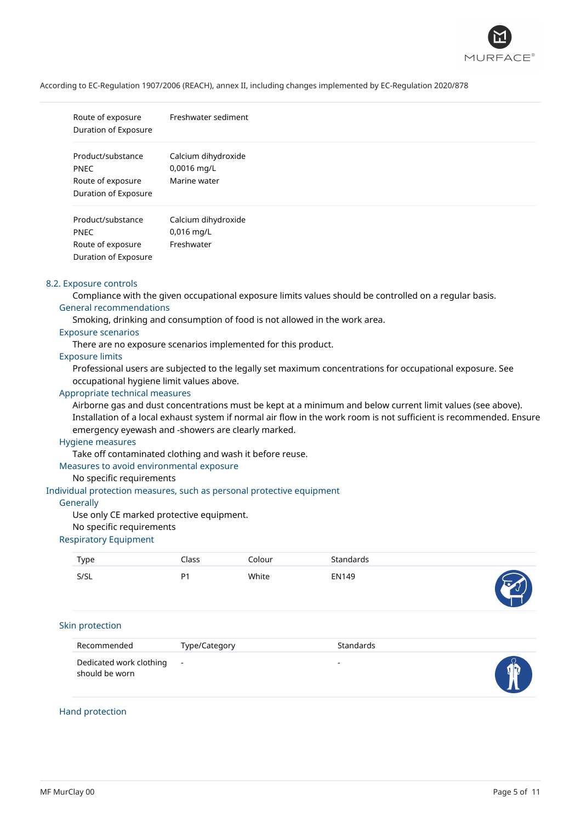

| Route of exposure<br>Duration of Exposure                                     | Freshwater sediment                                |
|-------------------------------------------------------------------------------|----------------------------------------------------|
| Product/substance<br><b>PNEC</b><br>Route of exposure<br>Duration of Exposure | Calcium dihydroxide<br>0,0016 mg/L<br>Marine water |
| Product/substance<br><b>PNEC</b><br>Route of exposure<br>Duration of Exposure | Calcium dihydroxide<br>$0,016$ mg/L<br>Freshwater  |

#### 8.2. Exposure controls

Compliance with the given occupational exposure limits values should be controlled on a regular basis. General recommendations

Smoking, drinking and consumption of food is not allowed in the work area.

### Exposure scenarios

There are no exposure scenarios implemented for this product.

#### Exposure limits

Professional users are subjected to the legally set maximum concentrations for occupational exposure. See occupational hygiene limit values above.

### Appropriate technical measures

Airborne gas and dust concentrations must be kept at a minimum and below current limit values (see above). Installation of a local exhaust system if normal air flow in the work room is not sufficient is recommended. Ensure emergency eyewash and -showers are clearly marked.

#### Hygiene measures

Take off contaminated clothing and wash it before reuse.

#### Measures to avoid environmental exposure

#### No specific requirements

#### Individual protection measures, such as personal protective equipment

#### **Generally**

Use only CE marked protective equipment.

#### No specific requirements

#### Respiratory Equipment

| Type | Class          | Colour | Standards    |    |
|------|----------------|--------|--------------|----|
| S/SL | P <sub>1</sub> | White  | <b>EN149</b> | 53 |

#### Skin protection

| Recommended                                 | Type/Category | <b>Standards</b> |  |
|---------------------------------------------|---------------|------------------|--|
| Dedicated work clothing -<br>should be worn |               | -                |  |

#### Hand protection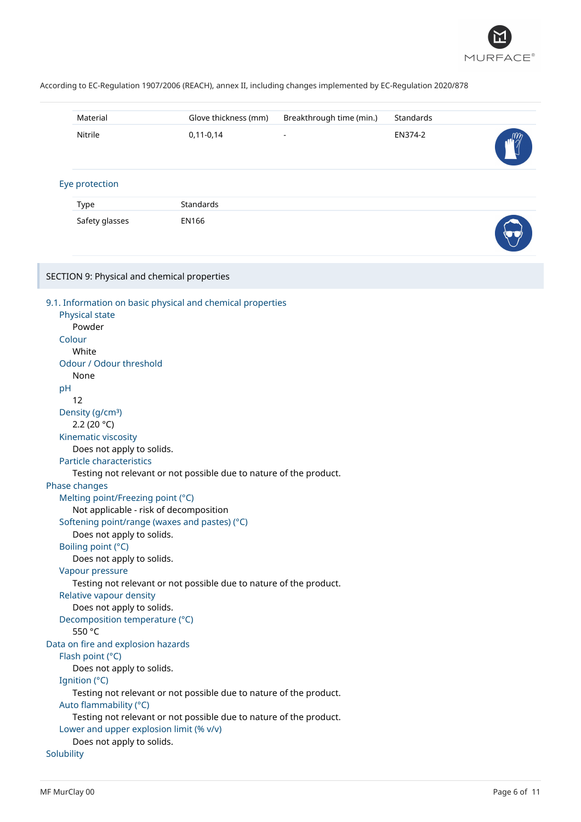

| Material                                                                                                                                                                                                                                                                                                                                                                                                                                                                                                                                                                  | Glove thickness (mm)                                                                                                                                                                                                                                    | Breakthrough time (min.) | Standards |  |
|---------------------------------------------------------------------------------------------------------------------------------------------------------------------------------------------------------------------------------------------------------------------------------------------------------------------------------------------------------------------------------------------------------------------------------------------------------------------------------------------------------------------------------------------------------------------------|---------------------------------------------------------------------------------------------------------------------------------------------------------------------------------------------------------------------------------------------------------|--------------------------|-----------|--|
| Nitrile                                                                                                                                                                                                                                                                                                                                                                                                                                                                                                                                                                   | $0,11-0,14$                                                                                                                                                                                                                                             |                          | EN374-2   |  |
| Eye protection                                                                                                                                                                                                                                                                                                                                                                                                                                                                                                                                                            |                                                                                                                                                                                                                                                         |                          |           |  |
| Type                                                                                                                                                                                                                                                                                                                                                                                                                                                                                                                                                                      | Standards                                                                                                                                                                                                                                               |                          |           |  |
| Safety glasses                                                                                                                                                                                                                                                                                                                                                                                                                                                                                                                                                            | <b>EN166</b>                                                                                                                                                                                                                                            |                          |           |  |
| SECTION 9: Physical and chemical properties                                                                                                                                                                                                                                                                                                                                                                                                                                                                                                                               |                                                                                                                                                                                                                                                         |                          |           |  |
| Physical state<br>Powder<br>Colour<br>White<br>Odour / Odour threshold<br>None<br>pH<br>12<br>Density (g/cm <sup>3</sup> )<br>2.2 (20 $°C$ )<br>Kinematic viscosity<br>Does not apply to solids.<br>Particle characteristics<br>Phase changes<br>Melting point/Freezing point (°C)<br>Not applicable - risk of decomposition<br>Does not apply to solids.<br>Boiling point (°C)<br>Does not apply to solids.<br>Vapour pressure<br>Relative vapour density<br>Does not apply to solids.<br>Decomposition temperature (°C)<br>550 °C<br>Data on fire and explosion hazards | 9.1. Information on basic physical and chemical properties<br>Testing not relevant or not possible due to nature of the product.<br>Softening point/range (waxes and pastes) (°C)<br>Testing not relevant or not possible due to nature of the product. |                          |           |  |
| Flash point (°C)<br>Does not apply to solids.<br>Ignition (°C)                                                                                                                                                                                                                                                                                                                                                                                                                                                                                                            |                                                                                                                                                                                                                                                         |                          |           |  |
| Auto flammability (°C)<br>Lower and upper explosion limit (% v/v)<br>Does not apply to solids.                                                                                                                                                                                                                                                                                                                                                                                                                                                                            | Testing not relevant or not possible due to nature of the product.<br>Testing not relevant or not possible due to nature of the product.                                                                                                                |                          |           |  |
| Solubility                                                                                                                                                                                                                                                                                                                                                                                                                                                                                                                                                                |                                                                                                                                                                                                                                                         |                          |           |  |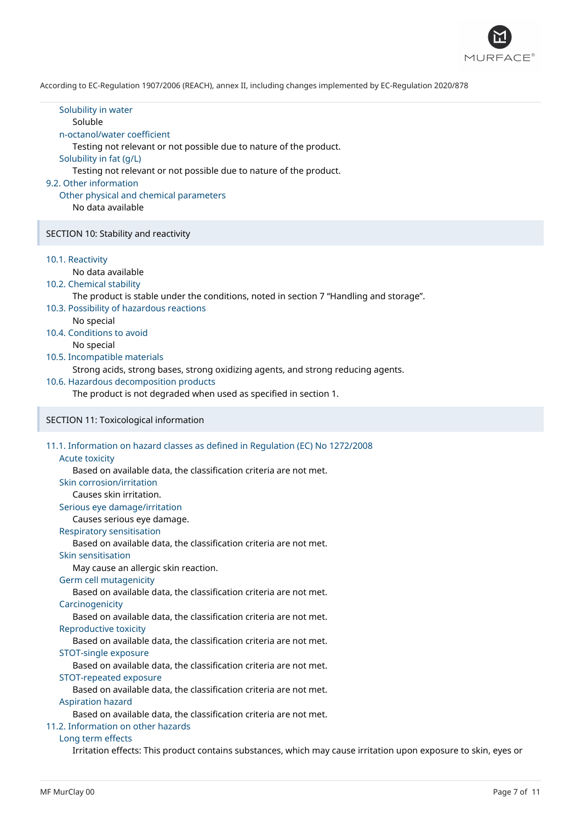

| Solubility in water<br>Soluble<br>n-octanol/water coefficient<br>Testing not relevant or not possible due to nature of the product.<br>Solubility in fat (g/L)<br>Testing not relevant or not possible due to nature of the product.<br>9.2. Other information<br>Other physical and chemical parameters<br>No data available                                                                                                                                                                                                                                                                                                                                                                                                                                                                                                                                                                                                                                                                                                                         |  |
|-------------------------------------------------------------------------------------------------------------------------------------------------------------------------------------------------------------------------------------------------------------------------------------------------------------------------------------------------------------------------------------------------------------------------------------------------------------------------------------------------------------------------------------------------------------------------------------------------------------------------------------------------------------------------------------------------------------------------------------------------------------------------------------------------------------------------------------------------------------------------------------------------------------------------------------------------------------------------------------------------------------------------------------------------------|--|
| SECTION 10: Stability and reactivity                                                                                                                                                                                                                                                                                                                                                                                                                                                                                                                                                                                                                                                                                                                                                                                                                                                                                                                                                                                                                  |  |
| 10.1. Reactivity<br>No data available<br>10.2. Chemical stability<br>The product is stable under the conditions, noted in section 7 "Handling and storage".<br>10.3. Possibility of hazardous reactions<br>No special<br>10.4. Conditions to avoid<br>No special<br>10.5. Incompatible materials<br>Strong acids, strong bases, strong oxidizing agents, and strong reducing agents.<br>10.6. Hazardous decomposition products<br>The product is not degraded when used as specified in section 1.                                                                                                                                                                                                                                                                                                                                                                                                                                                                                                                                                    |  |
| SECTION 11: Toxicological information                                                                                                                                                                                                                                                                                                                                                                                                                                                                                                                                                                                                                                                                                                                                                                                                                                                                                                                                                                                                                 |  |
| 11.1. Information on hazard classes as defined in Regulation (EC) No 1272/2008<br><b>Acute toxicity</b><br>Based on available data, the classification criteria are not met.<br>Skin corrosion/irritation<br>Causes skin irritation.<br>Serious eye damage/irritation<br>Causes serious eye damage.<br>Respiratory sensitisation<br>Based on available data, the classification criteria are not met.<br>Skin sensitisation<br>May cause an allergic skin reaction.<br>Germ cell mutagenicity<br>Based on available data, the classification criteria are not met.<br>Carcinogenicity<br>Based on available data, the classification criteria are not met.<br>Reproductive toxicity<br>Based on available data, the classification criteria are not met.<br>STOT-single exposure<br>Based on available data, the classification criteria are not met.<br>STOT-repeated exposure<br>Based on available data, the classification criteria are not met.<br><b>Aspiration hazard</b><br>Based on available data, the classification criteria are not met. |  |
| 11.2. Information on other hazards                                                                                                                                                                                                                                                                                                                                                                                                                                                                                                                                                                                                                                                                                                                                                                                                                                                                                                                                                                                                                    |  |

### Long term effects

Irritation effects: This product contains substances, which may cause irritation upon exposure to skin, eyes or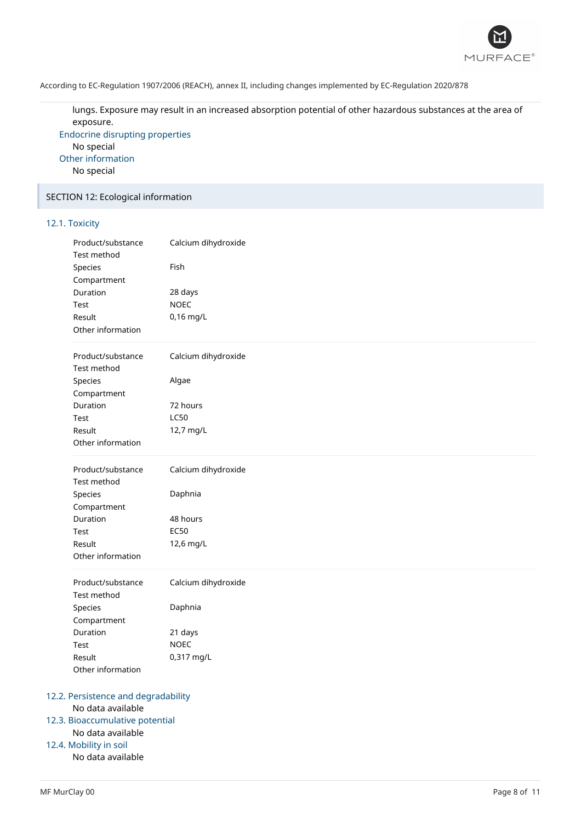

lungs. Exposure may result in an increased absorption potential of other hazardous substances at the area of exposure.

Endocrine disrupting properties No special Other information No special

### SECTION 12: Ecological information

### 12.1. Toxicity

| Product/substance<br>Test method | Calcium dihydroxide |  |
|----------------------------------|---------------------|--|
| Species                          | Fish                |  |
| Compartment                      |                     |  |
| Duration                         | 28 days             |  |
| Test                             | <b>NOEC</b>         |  |
| Result                           | 0,16 mg/L           |  |
| Other information                |                     |  |
| Product/substance<br>Test method | Calcium dihydroxide |  |
| Species                          | Algae               |  |
| Compartment                      |                     |  |
| Duration                         | 72 hours            |  |
| Test                             | <b>LC50</b>         |  |
| Result                           | 12,7 mg/L           |  |
| Other information                |                     |  |
|                                  |                     |  |
| Product/substance                | Calcium dihydroxide |  |
| Test method                      |                     |  |
| Species                          | Daphnia             |  |
| Compartment                      |                     |  |
| Duration                         | 48 hours            |  |
| Test                             | <b>EC50</b>         |  |
| Result                           | 12,6 mg/L           |  |
| Other information                |                     |  |
| Product/substance                | Calcium dihydroxide |  |
| Test method                      |                     |  |
| Species                          | Daphnia             |  |
| Compartment                      |                     |  |
| Duration                         | 21 days             |  |
| Test                             | <b>NOEC</b>         |  |
| Result                           | 0,317 mg/L          |  |
| Other information                |                     |  |

## 12.3. Bioaccumulative potential

No data available

## 12.4. Mobility in soil

No data available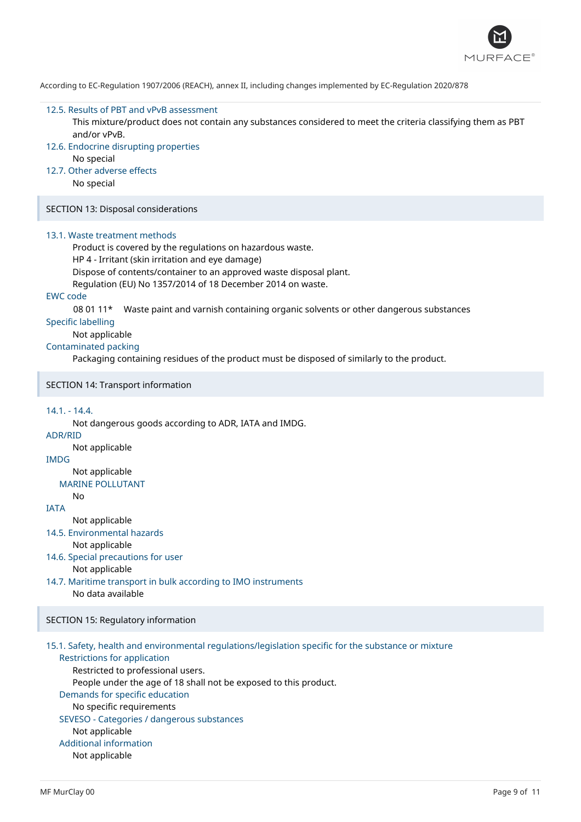

#### 12.5. Results of PBT and vPvB assessment

This mixture/product does not contain any substances considered to meet the criteria classifying them as PBT and/or vPvB.

- 12.6. Endocrine disrupting properties No special
- 12.7. Other adverse effects

No special

SECTION 13: Disposal considerations

#### 13.1. Waste treatment methods

Product is covered by the regulations on hazardous waste. HP 4 - Irritant (skin irritation and eye damage)

Dispose of contents/container to an approved waste disposal plant.

Regulation (EU) No 1357/2014 of 18 December 2014 on waste.

#### EWC code

08 01 11\* Waste paint and varnish containing organic solvents or other dangerous substances

Specific labelling

Not applicable

## Contaminated packing

Packaging containing residues of the product must be disposed of similarly to the product.

SECTION 14: Transport information

#### 14.1. - 14.4.

Not dangerous goods according to ADR, IATA and IMDG.

ADR/RID

Not applicable

IMDG

Not applicable

MARINE POLLUTANT No

IATA

Not applicable

14.5. Environmental hazards

Not applicable

14.6. Special precautions for user Not applicable

14.7. Maritime transport in bulk according to IMO instruments No data available

#### SECTION 15: Regulatory information

## 15.1. Safety, health and environmental regulations/legislation specific for the substance or mixture

Restrictions for application Restricted to professional users. People under the age of 18 shall not be exposed to this product. Demands for specific education No specific requirements SEVESO - Categories / dangerous substances Not applicable Additional information Not applicable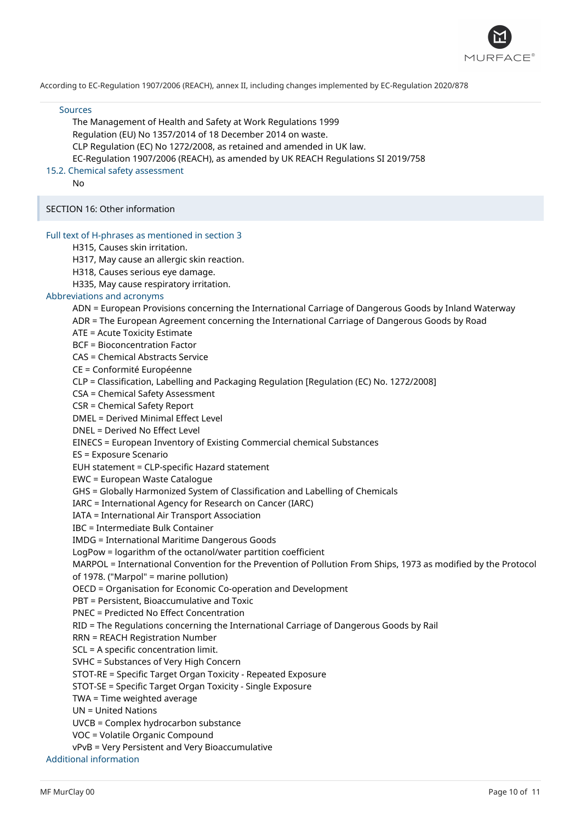

#### Sources

The Management of Health and Safety at Work Regulations 1999 Regulation (EU) No 1357/2014 of 18 December 2014 on waste. CLP Regulation (EC) No 1272/2008, as retained and amended in UK law. EC-Regulation 1907/2006 (REACH), as amended by UK REACH Regulations SI 2019/758

#### 15.2. Chemical safety assessment

No

#### SECTION 16: Other information

#### Full text of H-phrases as mentioned in section 3

H315, Causes skin irritation.

H317, May cause an allergic skin reaction.

H318, Causes serious eye damage.

H335, May cause respiratory irritation.

## Abbreviations and acronyms

ADN = European Provisions concerning the International Carriage of Dangerous Goods by Inland Waterway

- ADR = The European Agreement concerning the International Carriage of Dangerous Goods by Road
- ATE = Acute Toxicity Estimate

BCF = Bioconcentration Factor

CAS = Chemical Abstracts Service

CE = Conformité Européenne

CLP = Classification, Labelling and Packaging Regulation [Regulation (EC) No. 1272/2008]

CSA = Chemical Safety Assessment

CSR = Chemical Safety Report

DMEL = Derived Minimal Effect Level

DNEL = Derived No Effect Level

EINECS = European Inventory of Existing Commercial chemical Substances

ES = Exposure Scenario

EUH statement = CLP-specific Hazard statement

EWC = European Waste Catalogue

GHS = Globally Harmonized System of Classification and Labelling of Chemicals

IARC = International Agency for Research on Cancer (IARC)

IATA = International Air Transport Association

IBC = Intermediate Bulk Container

IMDG = International Maritime Dangerous Goods

LogPow = logarithm of the octanol/water partition coefficient

MARPOL = International Convention for the Prevention of Pollution From Ships, 1973 as modified by the Protocol

of 1978. ("Marpol" = marine pollution)

OECD = Organisation for Economic Co-operation and Development

PBT = Persistent, Bioaccumulative and Toxic

PNEC = Predicted No Effect Concentration

RID = The Regulations concerning the International Carriage of Dangerous Goods by Rail

RRN = REACH Registration Number

SCL = A specific concentration limit.

SVHC = Substances of Very High Concern

STOT-RE = Specific Target Organ Toxicity - Repeated Exposure

STOT-SE = Specific Target Organ Toxicity - Single Exposure

TWA = Time weighted average

UN = United Nations

UVCB = Complex hydrocarbon substance

VOC = Volatile Organic Compound

vPvB = Very Persistent and Very Bioaccumulative

Additional information